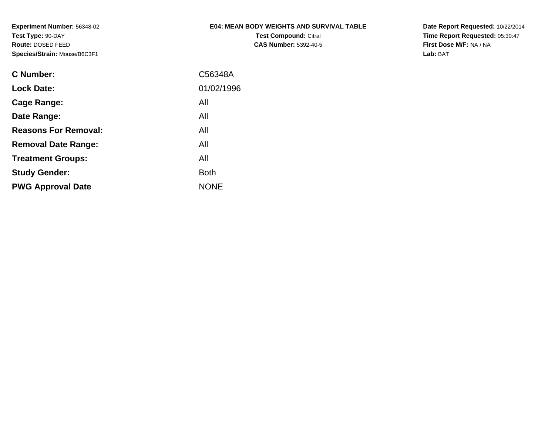**Experiment Number:** 56348-02**Test Type:** 90-DAY **Route:** DOSED FEED**Species/Strain:** Mouse/B6C3F1

# **E04: MEAN BODY WEIGHTS AND SURVIVAL TABLE**

**Test Compound:** Citral **CAS Number:** 5392-40-5 **Date Report Requested:** 10/22/2014**Time Report Requested:** 05:30:47**First Dose M/F:** NA / NA**Lab:** BAT

| <b>C</b> Number:            | C56348A     |
|-----------------------------|-------------|
| <b>Lock Date:</b>           | 01/02/1996  |
| Cage Range:                 | All         |
| Date Range:                 | All         |
| <b>Reasons For Removal:</b> | All         |
| <b>Removal Date Range:</b>  | All         |
| <b>Treatment Groups:</b>    | All         |
| <b>Study Gender:</b>        | <b>Both</b> |
| <b>PWG Approval Date</b>    | <b>NONE</b> |
|                             |             |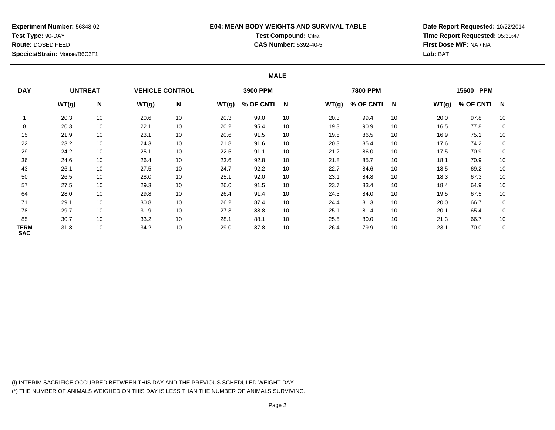### **Experiment Number:** 56348-02**Test Type:** 90-DAY **Route:** DOSED FEED**Species/Strain:** Mouse/B6C3F1

### **E04: MEAN BODY WEIGHTS AND SURVIVAL TABLETest Compound:** Citral **CAS Number:** 5392-40-5

**Date Report Requested:** 10/22/2014**Time Report Requested:** 05:30:47**First Dose M/F:** NA / NA**Lab:** BAT

#### **MALE**

| <b>DAY</b>         | <b>UNTREAT</b> |    | <b>VEHICLE CONTROL</b> |    |       | 3900 PPM    |    |       | <b>7800 PPM</b> |    |       | 15600 PPM   |    |
|--------------------|----------------|----|------------------------|----|-------|-------------|----|-------|-----------------|----|-------|-------------|----|
|                    | WT(g)          | N  | WT(g)                  | N  | WT(g) | % OF CNTL N |    | WT(g) | % OF CNTL N     |    | WT(g) | % OF CNTL N |    |
|                    | 20.3           | 10 | 20.6                   | 10 | 20.3  | 99.0        | 10 | 20.3  | 99.4            | 10 | 20.0  | 97.8        | 10 |
| 8                  | 20.3           | 10 | 22.1                   | 10 | 20.2  | 95.4        | 10 | 19.3  | 90.9            | 10 | 16.5  | 77.8        | 10 |
| 15                 | 21.9           | 10 | 23.1                   | 10 | 20.6  | 91.5        | 10 | 19.5  | 86.5            | 10 | 16.9  | 75.1        | 10 |
| 22                 | 23.2           | 10 | 24.3                   | 10 | 21.8  | 91.6        | 10 | 20.3  | 85.4            | 10 | 17.6  | 74.2        | 10 |
| 29                 | 24.2           | 10 | 25.1                   | 10 | 22.5  | 91.1        | 10 | 21.2  | 86.0            | 10 | 17.5  | 70.9        | 10 |
| 36                 | 24.6           | 10 | 26.4                   | 10 | 23.6  | 92.8        | 10 | 21.8  | 85.7            | 10 | 18.1  | 70.9        | 10 |
| 43                 | 26.1           | 10 | 27.5                   | 10 | 24.7  | 92.2        | 10 | 22.7  | 84.6            | 10 | 18.5  | 69.2        | 10 |
| 50                 | 26.5           | 10 | 28.0                   | 10 | 25.1  | 92.0        | 10 | 23.1  | 84.8            | 10 | 18.3  | 67.3        | 10 |
| 57                 | 27.5           | 10 | 29.3                   | 10 | 26.0  | 91.5        | 10 | 23.7  | 83.4            | 10 | 18.4  | 64.9        | 10 |
| 64                 | 28.0           | 10 | 29.8                   | 10 | 26.4  | 91.4        | 10 | 24.3  | 84.0            | 10 | 19.5  | 67.5        | 10 |
| 71                 | 29.1           | 10 | 30.8                   | 10 | 26.2  | 87.4        | 10 | 24.4  | 81.3            | 10 | 20.0  | 66.7        | 10 |
| 78                 | 29.7           | 10 | 31.9                   | 10 | 27.3  | 88.8        | 10 | 25.1  | 81.4            | 10 | 20.1  | 65.4        | 10 |
| 85                 | 30.7           | 10 | 33.2                   | 10 | 28.1  | 88.1        | 10 | 25.5  | 80.0            | 10 | 21.3  | 66.7        | 10 |
| TERM<br><b>SAC</b> | 31.8           | 10 | 34.2                   | 10 | 29.0  | 87.8        | 10 | 26.4  | 79.9            | 10 | 23.1  | 70.0        | 10 |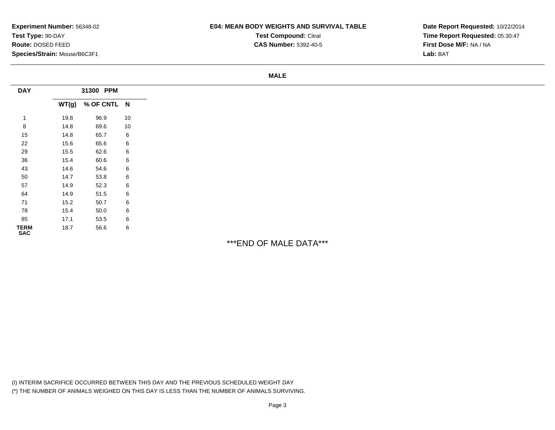### **E04: MEAN BODY WEIGHTS AND SURVIVAL TABLE**

**Test Compound:** Citral

**CAS Number:** 5392-40-5

**Date Report Requested:** 10/22/2014**Time Report Requested:** 05:30:47**First Dose M/F:** NA / NA**Lab:** BAT

#### **MALE**

| <b>DAY</b>                |      | 31300 PPM         |    |
|---------------------------|------|-------------------|----|
|                           |      | WT(g) % OF CNTL N |    |
|                           | 19.8 | 96.9              | 10 |
| 8                         | 14.8 | 69.6              | 10 |
| 15                        | 14.8 | 65.7              | 6  |
| 22                        | 15.6 | 65.6              | 6  |
| 29                        | 15.5 | 62.6              | 6  |
| 36                        | 15.4 | 60.6              | 6  |
| 43                        | 14.6 | 54.6              | 6  |
| 50                        | 14.7 | 53.8              | 6  |
| 57                        | 14.9 | 52.3              | 6  |
| 64                        | 14.9 | 51.5              | 6  |
| 71                        | 15.2 | 50.7              | 6  |
| 78                        | 15.4 | 50.0              | 6  |
| 85                        | 17.1 | 53.5              | 6  |
| <b>TERM</b><br><b>SAC</b> | 18.7 | 56.6              | 6  |

# \*\*\*END OF MALE DATA\*\*\*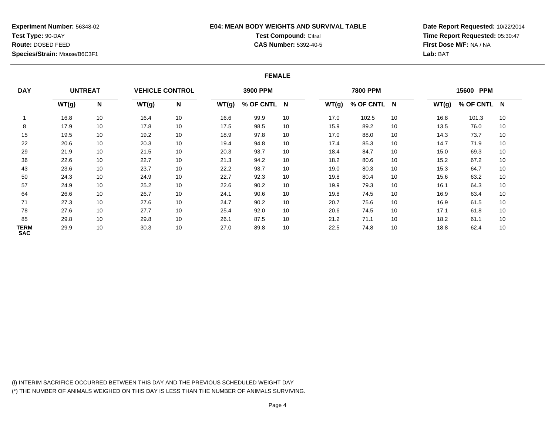### **Experiment Number:** 56348-02**Test Type:** 90-DAY **Route:** DOSED FEED**Species/Strain:** Mouse/B6C3F1

## **E04: MEAN BODY WEIGHTS AND SURVIVAL TABLETest Compound:** Citral

**CAS Number:** 5392-40-5

**Date Report Requested:** 10/22/2014**Time Report Requested:** 05:30:47**First Dose M/F:** NA / NA**Lab:** BAT

#### **FEMALE**

| <b>DAY</b>         | <b>UNTREAT</b> |    | <b>VEHICLE CONTROL</b> |    |       | 3900 PPM    |    |       | 7800 PPM    |    |       | 15600 PPM   |    |
|--------------------|----------------|----|------------------------|----|-------|-------------|----|-------|-------------|----|-------|-------------|----|
|                    | WT(g)          | N  | WT(g)                  | N  | WT(g) | % OF CNTL N |    | WT(g) | % OF CNTL N |    | WT(g) | % OF CNTL N |    |
|                    | 16.8           | 10 | 16.4                   | 10 | 16.6  | 99.9        | 10 | 17.0  | 102.5       | 10 | 16.8  | 101.3       | 10 |
| 8                  | 17.9           | 10 | 17.8                   | 10 | 17.5  | 98.5        | 10 | 15.9  | 89.2        | 10 | 13.5  | 76.0        | 10 |
| 15                 | 19.5           | 10 | 19.2                   | 10 | 18.9  | 97.8        | 10 | 17.0  | 88.0        | 10 | 14.3  | 73.7        | 10 |
| 22                 | 20.6           | 10 | 20.3                   | 10 | 19.4  | 94.8        | 10 | 17.4  | 85.3        | 10 | 14.7  | 71.9        | 10 |
| 29                 | 21.9           | 10 | 21.5                   | 10 | 20.3  | 93.7        | 10 | 18.4  | 84.7        | 10 | 15.0  | 69.3        | 10 |
| 36                 | 22.6           | 10 | 22.7                   | 10 | 21.3  | 94.2        | 10 | 18.2  | 80.6        | 10 | 15.2  | 67.2        | 10 |
| 43                 | 23.6           | 10 | 23.7                   | 10 | 22.2  | 93.7        | 10 | 19.0  | 80.3        | 10 | 15.3  | 64.7        | 10 |
| 50                 | 24.3           | 10 | 24.9                   | 10 | 22.7  | 92.3        | 10 | 19.8  | 80.4        | 10 | 15.6  | 63.2        | 10 |
| 57                 | 24.9           | 10 | 25.2                   | 10 | 22.6  | 90.2        | 10 | 19.9  | 79.3        | 10 | 16.1  | 64.3        | 10 |
| 64                 | 26.6           | 10 | 26.7                   | 10 | 24.1  | 90.6        | 10 | 19.8  | 74.5        | 10 | 16.9  | 63.4        | 10 |
| 71                 | 27.3           | 10 | 27.6                   | 10 | 24.7  | 90.2        | 10 | 20.7  | 75.6        | 10 | 16.9  | 61.5        | 10 |
| 78                 | 27.6           | 10 | 27.7                   | 10 | 25.4  | 92.0        | 10 | 20.6  | 74.5        | 10 | 17.1  | 61.8        | 10 |
| 85                 | 29.8           | 10 | 29.8                   | 10 | 26.1  | 87.5        | 10 | 21.2  | 71.1        | 10 | 18.2  | 61.1        | 10 |
| TERM<br><b>SAC</b> | 29.9           | 10 | 30.3                   | 10 | 27.0  | 89.8        | 10 | 22.5  | 74.8        | 10 | 18.8  | 62.4        | 10 |